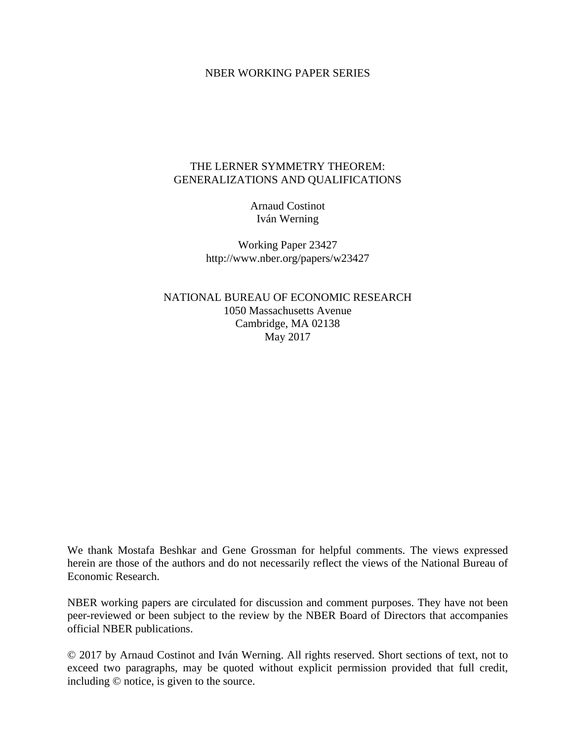#### NBER WORKING PAPER SERIES

### THE LERNER SYMMETRY THEOREM: GENERALIZATIONS AND QUALIFICATIONS

Arnaud Costinot Iván Werning

Working Paper 23427 http://www.nber.org/papers/w23427

NATIONAL BUREAU OF ECONOMIC RESEARCH 1050 Massachusetts Avenue Cambridge, MA 02138 May 2017

We thank Mostafa Beshkar and Gene Grossman for helpful comments. The views expressed herein are those of the authors and do not necessarily reflect the views of the National Bureau of Economic Research.

NBER working papers are circulated for discussion and comment purposes. They have not been peer-reviewed or been subject to the review by the NBER Board of Directors that accompanies official NBER publications.

© 2017 by Arnaud Costinot and Iván Werning. All rights reserved. Short sections of text, not to exceed two paragraphs, may be quoted without explicit permission provided that full credit, including © notice, is given to the source.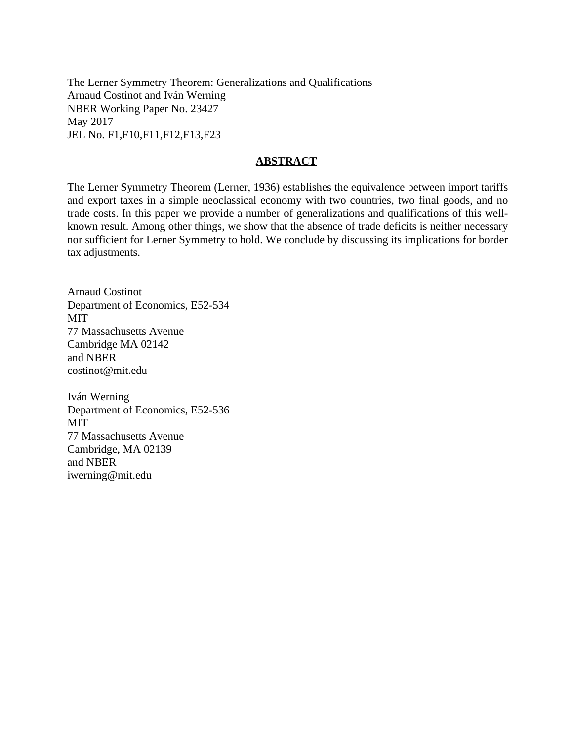The Lerner Symmetry Theorem: Generalizations and Qualifications Arnaud Costinot and Iván Werning NBER Working Paper No. 23427 May 2017 JEL No. F1,F10,F11,F12,F13,F23

### **ABSTRACT**

The Lerner Symmetry Theorem (Lerner, 1936) establishes the equivalence between import tariffs and export taxes in a simple neoclassical economy with two countries, two final goods, and no trade costs. In this paper we provide a number of generalizations and qualifications of this wellknown result. Among other things, we show that the absence of trade deficits is neither necessary nor sufficient for Lerner Symmetry to hold. We conclude by discussing its implications for border tax adjustments.

Arnaud Costinot Department of Economics, E52-534 MIT 77 Massachusetts Avenue Cambridge MA 02142 and NBER costinot@mit.edu

Iván Werning Department of Economics, E52-536 **MIT** 77 Massachusetts Avenue Cambridge, MA 02139 and NBER iwerning@mit.edu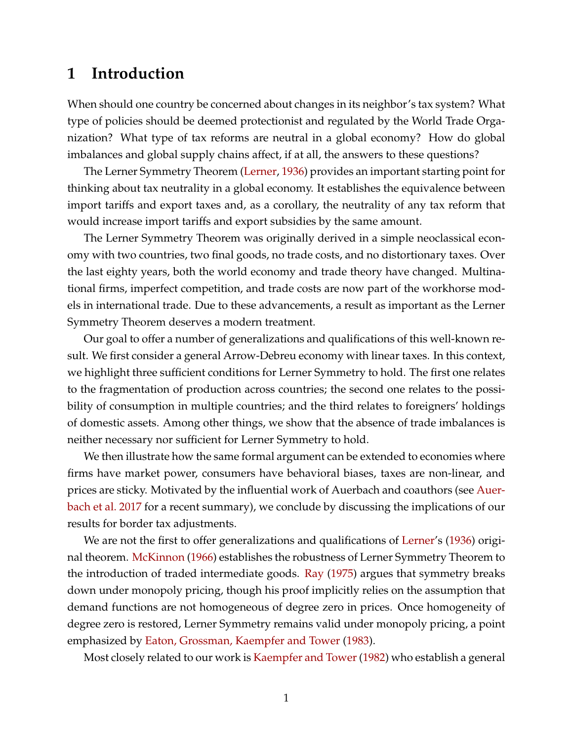## **1 Introduction**

When should one country be concerned about changes in its neighbor's tax system? What type of policies should be deemed protectionist and regulated by the World Trade Organization? What type of tax reforms are neutral in a global economy? How do global imbalances and global supply chains affect, if at all, the answers to these questions?

The Lerner Symmetry Theorem [\(Lerner,](#page-13-0) [1936\)](#page-13-0) provides an important starting point for thinking about tax neutrality in a global economy. It establishes the equivalence between import tariffs and export taxes and, as a corollary, the neutrality of any tax reform that would increase import tariffs and export subsidies by the same amount.

The Lerner Symmetry Theorem was originally derived in a simple neoclassical economy with two countries, two final goods, no trade costs, and no distortionary taxes. Over the last eighty years, both the world economy and trade theory have changed. Multinational firms, imperfect competition, and trade costs are now part of the workhorse models in international trade. Due to these advancements, a result as important as the Lerner Symmetry Theorem deserves a modern treatment.

Our goal to offer a number of generalizations and qualifications of this well-known result. We first consider a general Arrow-Debreu economy with linear taxes. In this context, we highlight three sufficient conditions for Lerner Symmetry to hold. The first one relates to the fragmentation of production across countries; the second one relates to the possibility of consumption in multiple countries; and the third relates to foreigners' holdings of domestic assets. Among other things, we show that the absence of trade imbalances is neither necessary nor sufficient for Lerner Symmetry to hold.

We then illustrate how the same formal argument can be extended to economies where firms have market power, consumers have behavioral biases, taxes are non-linear, and prices are sticky. Motivated by the influential work of Auerbach and coauthors (see [Auer](#page-13-1)[bach et al.](#page-13-1) [2017](#page-13-1) for a recent summary), we conclude by discussing the implications of our results for border tax adjustments.

We are not the first to offer generalizations and qualifications of [Lerner'](#page-13-0)s [\(1936\)](#page-13-0) original theorem. [McKinnon](#page-13-2) [\(1966\)](#page-13-2) establishes the robustness of Lerner Symmetry Theorem to the introduction of traded intermediate goods. [Ray](#page-13-3) [\(1975\)](#page-13-3) argues that symmetry breaks down under monopoly pricing, though his proof implicitly relies on the assumption that demand functions are not homogeneous of degree zero in prices. Once homogeneity of degree zero is restored, Lerner Symmetry remains valid under monopoly pricing, a point emphasized by [Eaton, Grossman, Kaempfer and Tower](#page-13-4) [\(1983\)](#page-13-4).

Most closely related to our work is [Kaempfer and Tower\(1982\)](#page-13-5) who establish a general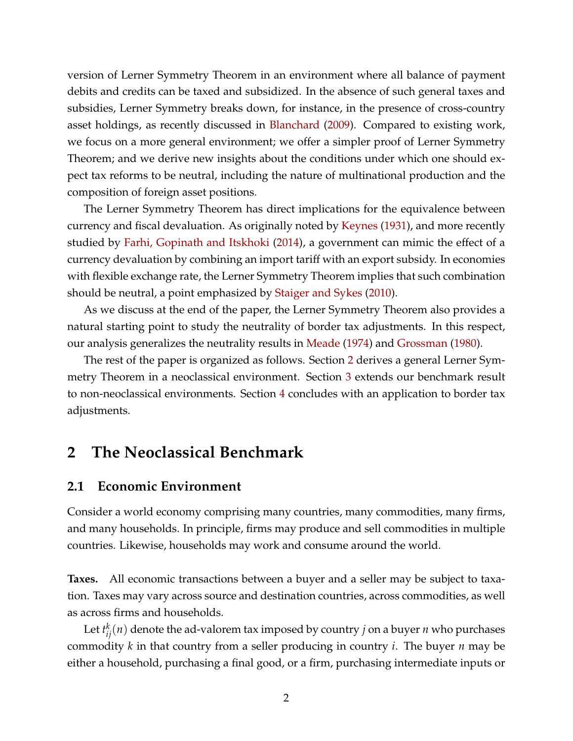version of Lerner Symmetry Theorem in an environment where all balance of payment debits and credits can be taxed and subsidized. In the absence of such general taxes and subsidies, Lerner Symmetry breaks down, for instance, in the presence of cross-country asset holdings, as recently discussed in [Blanchard](#page-13-6) [\(2009\)](#page-13-6). Compared to existing work, we focus on a more general environment; we offer a simpler proof of Lerner Symmetry Theorem; and we derive new insights about the conditions under which one should expect tax reforms to be neutral, including the nature of multinational production and the composition of foreign asset positions.

The Lerner Symmetry Theorem has direct implications for the equivalence between currency and fiscal devaluation. As originally noted by [Keynes](#page-13-7) [\(1931\)](#page-13-7), and more recently studied by [Farhi, Gopinath and Itskhoki](#page-13-8) [\(2014\)](#page-13-8), a government can mimic the effect of a currency devaluation by combining an import tariff with an export subsidy. In economies with flexible exchange rate, the Lerner Symmetry Theorem implies that such combination should be neutral, a point emphasized by [Staiger and Sykes](#page-14-0) [\(2010\)](#page-14-0).

As we discuss at the end of the paper, the Lerner Symmetry Theorem also provides a natural starting point to study the neutrality of border tax adjustments. In this respect, our analysis generalizes the neutrality results in [Meade](#page-13-9) [\(1974\)](#page-13-9) and [Grossman](#page-13-10) [\(1980\)](#page-13-10).

The rest of the paper is organized as follows. Section [2](#page-3-0) derives a general Lerner Symmetry Theorem in a neoclassical environment. Section [3](#page-9-0) extends our benchmark result to non-neoclassical environments. Section [4](#page-11-0) concludes with an application to border tax adjustments.

## <span id="page-3-0"></span>**2 The Neoclassical Benchmark**

### **2.1 Economic Environment**

Consider a world economy comprising many countries, many commodities, many firms, and many households. In principle, firms may produce and sell commodities in multiple countries. Likewise, households may work and consume around the world.

**Taxes.** All economic transactions between a buyer and a seller may be subject to taxation. Taxes may vary across source and destination countries, across commodities, as well as across firms and households.

Let  $t_{ij}^k(n)$  denote the ad-valorem tax imposed by country  $j$  on a buyer  $n$  who purchases commodity *k* in that country from a seller producing in country *i*. The buyer *n* may be either a household, purchasing a final good, or a firm, purchasing intermediate inputs or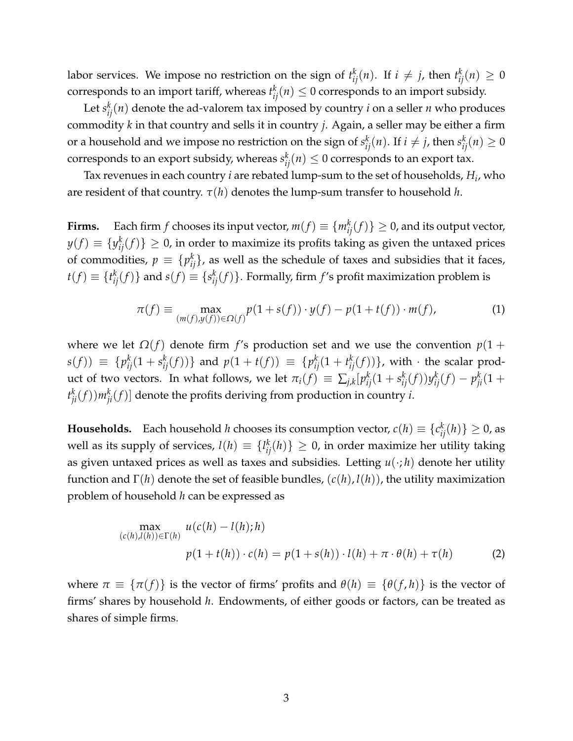labor services. We impose no restriction on the sign of  $t_{ij}^k(n)$ . If  $i \neq j$ , then  $t_{ij}^k(n) \geq 0$ corresponds to an import tariff, whereas  $t_{ij}^k(n) \leq 0$  corresponds to an import subsidy.

Let  $s_{ij}^k(n)$  denote the ad-valorem tax imposed by country *i* on a seller *n* who produces commodity *k* in that country and sells it in country *j*. Again, a seller may be either a firm or a household and we impose no restriction on the sign of  $s_{ij}^k(n)$ . If  $i\neq j$ , then  $s_{ij}^k(n)\geq 0$ corresponds to an export subsidy, whereas  $s_{ij}^k(n) \leq 0$  corresponds to an export tax.

Tax revenues in each country *i* are rebated lump-sum to the set of households, *H<sup>i</sup>* , who are resident of that country.  $\tau(h)$  denotes the lump-sum transfer to household *h*.

**Firms.** Each firm  $f$  chooses its input vector,  $m(f) \equiv \{m_{ij}^k(f)\} \geq 0$ , and its output vector,  $y(f) \equiv \{y_{ij}^k(f)\} \geq 0$ , in order to maximize its profits taking as given the untaxed prices of commodities,  $p\,\equiv\,\{p_{ij}^k\}$ , as well as the schedule of taxes and subsidies that it faces,  $t(f) \equiv \{t_{ij}^k(f)\}$  and  $s(f) \equiv \{s_{ij}^k(f)\}.$  Formally, firm  $f$ 's profit maximization problem is

<span id="page-4-0"></span>
$$
\pi(f) \equiv \max_{(m(f), y(f)) \in \Omega(f)} p(1 + s(f)) \cdot y(f) - p(1 + t(f)) \cdot m(f),
$$
 (1)

where we let  $\Omega(f)$  denote firm *f*'s production set and we use the convention  $p(1 +$  $s(f)) \equiv \{p_{ij}^k(1+s_{ij}^k(f))\}$  and  $p(1+t(f)) \equiv \{p_{ij}^k(1+t_{ij}^k(f))\}$ , with  $\cdot$  the scalar product of two vectors. In what follows, we let  $\pi_i(f) \, \equiv \, \sum_{j,k} [p_{ij}^k(1+s_{ij}^k(f)) y_{ij}^k(f) - p_{ji}^k(1+g_{ij}^k(f)) y_{ij}^k(f)]$  $t_{ji}^{k}(f))m_{ji}^{k}(f)$ ] denote the profits deriving from production in country *i*.

**Households.** Each household *h* chooses its consumption vector,  $c(h) \equiv \{c_{ij}^{k}(h)\} \geq 0$ , as well as its supply of services,  $l(h) \equiv \{l_{ij}^k(h)\} \geq 0$ , in order maximize her utility taking as given untaxed prices as well as taxes and subsidies. Letting  $u(\cdot; h)$  denote her utility function and Γ(*h*) denote the set of feasible bundles, (*c*(*h*), *l*(*h*)), the utility maximization problem of household *h* can be expressed as

<span id="page-4-1"></span>
$$
\max_{(c(h),l(h)) \in \Gamma(h)} u(c(h) - l(h);h) \n p(1 + t(h)) \cdot c(h) = p(1 + s(h)) \cdot l(h) + \pi \cdot \theta(h) + \tau(h)
$$
\n(2)

where  $\pi \equiv {\pi(f)}$  is the vector of firms' profits and  $\theta(h) \equiv {\theta(f,h)}$  is the vector of firms' shares by household *h*. Endowments, of either goods or factors, can be treated as shares of simple firms.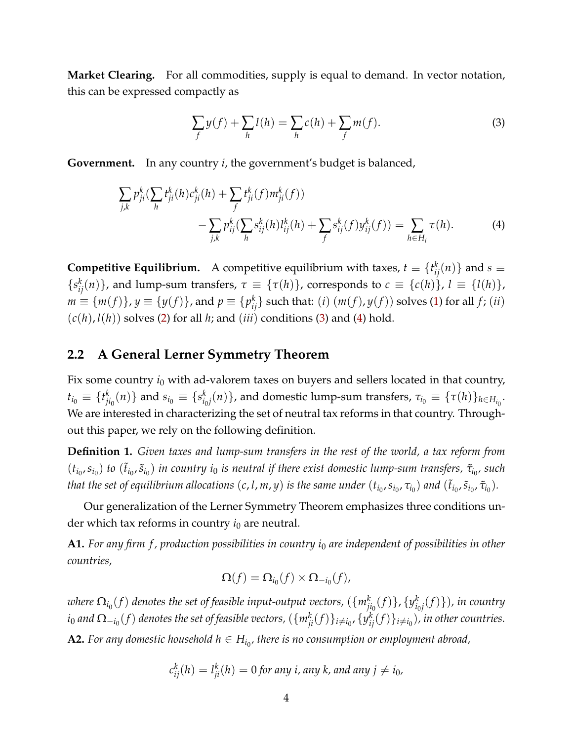**Market Clearing.** For all commodities, supply is equal to demand. In vector notation, this can be expressed compactly as

<span id="page-5-1"></span><span id="page-5-0"></span>
$$
\sum_{f} y(f) + \sum_{h} l(h) = \sum_{h} c(h) + \sum_{f} m(f).
$$
 (3)

**Government.** In any country *i*, the government's budget is balanced,

$$
\sum_{j,k} p_{ji}^k \left( \sum_h t_{ji}^k(h) c_{ji}^k(h) + \sum_f t_{ji}^k(f) m_{ji}^k(f) \right) - \sum_{j,k} p_{ij}^k \left( \sum_h s_{ij}^k(h) l_{ij}^k(h) + \sum_f s_{ij}^k(f) y_{ij}^k(f) \right) = \sum_{h \in H_i} \tau(h).
$$
 (4)

**Competitive Equilibrium.** A competitive equilibrium with taxes,  $t \equiv \{t_{ij}^k(n)\}$  and  $s \equiv$  ${s_{ij}^k(n)}$ , and lump-sum transfers,  $\tau \equiv {\tau(h)}$ , corresponds to  $c \equiv {\{c(h)\}}$ ,  $l \equiv {\{l(h)\}}$ ,  $m \equiv \{m(f)\}$ ,  $y \equiv \{y(f)\}$ , and  $p \equiv \{p_{ij}^k\}$  such that:  $(i)$   $(m(f), y(f))$  solves [\(1\)](#page-4-0) for all  $f$ ;  $(ii)$  $(c(h), l(h))$  solves [\(2\)](#page-4-1) for all *h*; and  $(iii)$  conditions [\(3\)](#page-5-0) and [\(4\)](#page-5-1) hold.

## **2.2 A General Lerner Symmetry Theorem**

Fix some country  $i_0$  with ad-valorem taxes on buyers and sellers located in that country,  $t_{i_0} \equiv \{t^k_j$  $\left\{ \begin{array}{l} k \ j i_0(n) \end{array} \right\}$  and  $s_{i_0} \equiv \{ s_{i_0}^k \}$  $\alpha_{i_0 j}^k(n) \}$ , and domestic lump-sum transfers,  $\tau_{i_0} \equiv \{\tau(h)\}_{h \in H_{i_0}}.$ We are interested in characterizing the set of neutral tax reforms in that country. Throughout this paper, we rely on the following definition.

**Definition 1.** *Given taxes and lump-sum transfers in the rest of the world, a tax reform from*  $(t_{i_0}, s_{i_0})$  *to*  $(\tilde{t}_{i_0}, \tilde{s}_{i_0})$  *in country i*<sub>0</sub> *is neutral if there exist domestic lump-sum transfers,*  $\tilde{\tau}_{i_0}$ , such that the set of equilibrium allocations  $(c,l,m,y)$  is the same under  $(t_{i_0},s_{i_0},\tau_{i_0})$  and  $(\tilde t_{i_0},\tilde s_{i_0},\tilde\tau_{i_0}).$ 

Our generalization of the Lerner Symmetry Theorem emphasizes three conditions under which tax reforms in country  $i_0$  are neutral.

**A1.** *For any firm f , production possibilities in country i*<sup>0</sup> *are independent of possibilities in other countries,*

$$
\Omega(f) = \Omega_{i_0}(f) \times \Omega_{-i_0}(f),
$$

 $\alpha$  *where*  $\Omega_{i_0}(f)$  denotes the set of feasible input-output vectors,  $(\{m_{ji_0}^k(f)\}, \{y_{ij_0}^k(f)\})$ *i*0 *j* (*f*)})*, in country*  $i_0$  and  $\Omega_{-i_0}(f)$  denotes the set of feasible vectors,  $(\{m_{ji}^k(f)\}_{i\neq i_0},\{y_{ij}^k(f)\}_{i\neq i_0})$ , in other countries. **A2.** For any domestic household  $h \in H_{i_0}$ , there is no consumption or employment abroad,

$$
c_{ij}^k(h) = l_{ji}^k(h) = 0
$$
 for any *i*, any *k*, and any  $j \neq i_0$ ,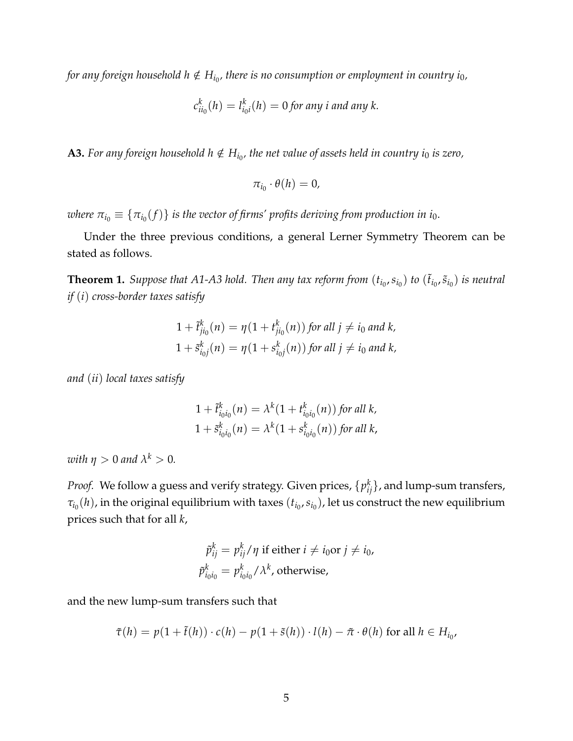for any foreign household  $h \notin H_{i_0}$ , there is no consumption or employment in country  $i_0$ ,

$$
c_{ii_0}^k(h) = l_{i_0i}^k(h) = 0
$$
 for any *i* and any *k*.

**A3.** For any foreign household  $h \notin H_{i_0}$ , the net value of assets held in country  $i_0$  is zero,

$$
\pi_{i_0}\cdot\theta(h)=0,
$$

where  $\pi_{i_0}\equiv\{\pi_{i_0}(f)\}$  is the vector of firms' profits deriving from production in  $i_0.$ 

Under the three previous conditions, a general Lerner Symmetry Theorem can be stated as follows.

<span id="page-6-0"></span>**Theorem 1.** Suppose that A1-A3 hold. Then any tax reform from  $(t_{i_0}, s_{i_0})$  to  $(\tilde{t}_{i_0}, \tilde{s}_{i_0})$  is neutral *if* (*i*) *cross-border taxes satisfy*

$$
1 + \tilde{t}_{ji_0}^k(n) = \eta(1 + t_{ji_0}^k(n)) \text{ for all } j \neq i_0 \text{ and } k,
$$
  

$$
1 + \tilde{s}_{i_0j}^k(n) = \eta(1 + s_{i_0j}^k(n)) \text{ for all } j \neq i_0 \text{ and } k,
$$

*and* (*ii*) *local taxes satisfy*

$$
1 + \tilde{t}_{i_0 i_0}^k(n) = \lambda^k (1 + t_{i_0 i_0}^k(n)) \text{ for all } k,
$$
  

$$
1 + \tilde{s}_{i_0 i_0}^k(n) = \lambda^k (1 + s_{i_0 i_0}^k(n)) \text{ for all } k,
$$

*with*  $\eta > 0$  *and*  $\lambda^k > 0$ *.* 

*Proof.* We follow a guess and verify strategy. Given prices,  $\{p_{ij}^k\}$ , and lump-sum transfers,  $\tau_{i_0}(h)$ , in the original equilibrium with taxes  $(t_{i_0},s_{i_0})$ , let us construct the new equilibrium prices such that for all *k*,

$$
\tilde{p}_{ij}^k = p_{ij}^k / \eta \text{ if either } i \neq i_0 \text{ or } j \neq i_0,
$$
\n
$$
\tilde{p}_{i_0 i_0}^k = p_{i_0 i_0}^k / \lambda^k \text{, otherwise,}
$$

and the new lump-sum transfers such that

$$
\tilde{\tau}(h) = p(1 + \tilde{t}(h)) \cdot c(h) - p(1 + \tilde{s}(h)) \cdot l(h) - \tilde{\pi} \cdot \theta(h) \text{ for all } h \in H_{i_0},
$$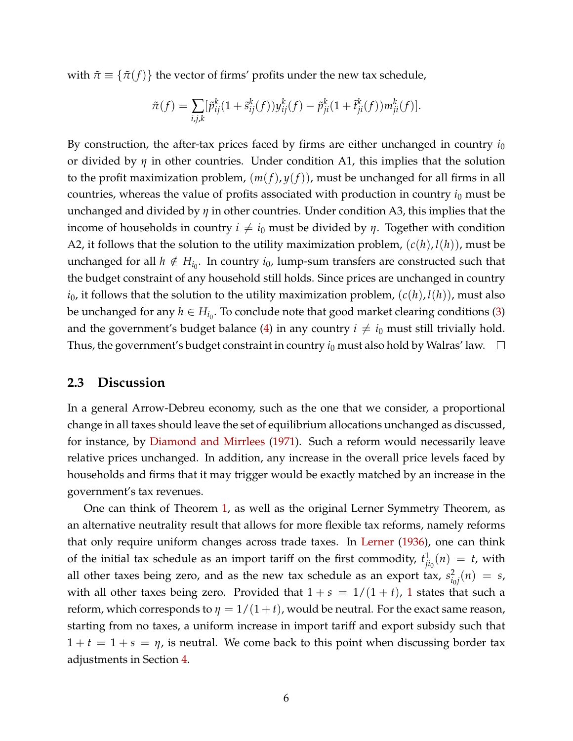with  $\tilde{\pi} \equiv {\tilde{\pi}(f)}$  the vector of firms' profits under the new tax schedule,

$$
\tilde{\pi}(f) = \sum_{i,j,k} [\tilde{p}_{ij}^k (1 + \tilde{s}_{ij}^k(f)) y_{ij}^k(f) - \tilde{p}_{ji}^k (1 + \tilde{t}_{ji}^k(f)) m_{ji}^k(f)].
$$

By construction, the after-tax prices faced by firms are either unchanged in country  $i_0$ or divided by *η* in other countries. Under condition A1, this implies that the solution to the profit maximization problem,  $(m(f), y(f))$ , must be unchanged for all firms in all countries, whereas the value of profits associated with production in country *i*<sup>0</sup> must be unchanged and divided by *η* in other countries. Under condition A3, this implies that the income of households in country  $i \neq i_0$  must be divided by  $\eta$ . Together with condition A2, it follows that the solution to the utility maximization problem,  $(c(h), l(h))$ , must be unchanged for all  $h \notin H_{i_0}$ . In country  $i_0$ , lump-sum transfers are constructed such that the budget constraint of any household still holds. Since prices are unchanged in country  $i_0$ , it follows that the solution to the utility maximization problem,  $(c(h), l(h))$ , must also be unchanged for any  $h \in H_{i_0}$ . To conclude note that good market clearing conditions [\(3\)](#page-5-0) and the government's budget balance [\(4\)](#page-5-1) in any country  $i \neq i_0$  must still trivially hold. Thus, the government's budget constraint in country  $i_0$  must also hold by Walras' law.  $\Box$ 

### <span id="page-7-0"></span>**2.3 Discussion**

In a general Arrow-Debreu economy, such as the one that we consider, a proportional change in all taxes should leave the set of equilibrium allocations unchanged as discussed, for instance, by [Diamond and Mirrlees](#page-13-11) [\(1971\)](#page-13-11). Such a reform would necessarily leave relative prices unchanged. In addition, any increase in the overall price levels faced by households and firms that it may trigger would be exactly matched by an increase in the government's tax revenues.

One can think of Theorem [1,](#page-6-0) as well as the original Lerner Symmetry Theorem, as an alternative neutrality result that allows for more flexible tax reforms, namely reforms that only require uniform changes across trade taxes. In [Lerner](#page-13-0) [\(1936\)](#page-13-0), one can think of the initial tax schedule as an import tariff on the first commodity,  $t_{i}^1$  $\int_{j_{0}}^{1}(n) = t$ , with all other taxes being zero, and as the new tax schedule as an export tax,  $s_i^2$  $\frac{2}{i_0 j}(n) = s$ , with all other taxes being zero. Provided that  $1 + s = 1/(1 + t)$  $1 + s = 1/(1 + t)$ , 1 states that such a reform, which corresponds to  $\eta = 1/(1 + t)$ , would be neutral. For the exact same reason, starting from no taxes, a uniform increase in import tariff and export subsidy such that  $1 + t = 1 + s = \eta$ , is neutral. We come back to this point when discussing border tax adjustments in Section [4.](#page-11-0)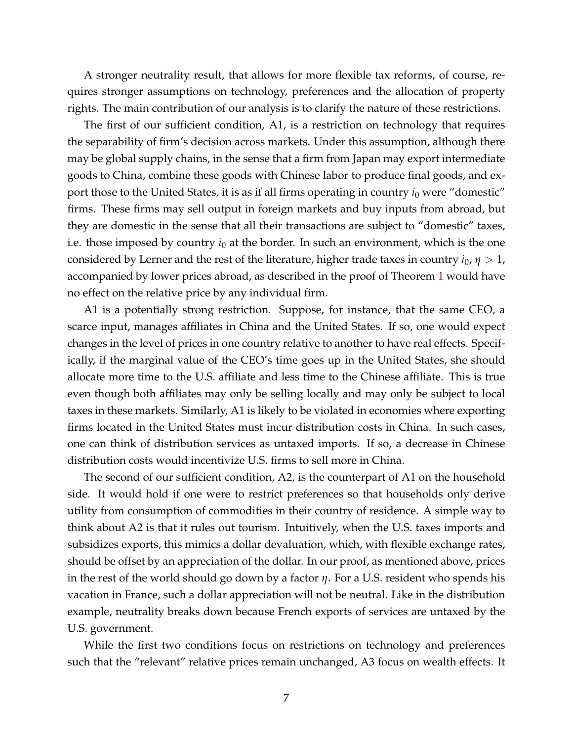A stronger neutrality result, that allows for more flexible tax reforms, of course, requires stronger assumptions on technology, preferences and the allocation of property rights. The main contribution of our analysis is to clarify the nature of these restrictions.

The first of our sufficient condition, A1, is a restriction on technology that requires the separability of firm's decision across markets. Under this assumption, although there may be global supply chains, in the sense that a firm from Japan may export intermediate goods to China, combine these goods with Chinese labor to produce final goods, and export those to the United States, it is as if all firms operating in country  $i_0$  were "domestic" firms. These firms may sell output in foreign markets and buy inputs from abroad, but they are domestic in the sense that all their transactions are subject to "domestic" taxes, i.e. those imposed by country  $i_0$  at the border. In such an environment, which is the one considered by Lerner and the rest of the literature, higher trade taxes in country  $i_0$ ,  $\eta > 1$ , accompanied by lower prices abroad, as described in the proof of Theorem [1](#page-6-0) would have no effect on the relative price by any individual firm.

A1 is a potentially strong restriction. Suppose, for instance, that the same CEO, a scarce input, manages affiliates in China and the United States. If so, one would expect changes in the level of prices in one country relative to another to have real effects. Specifically, if the marginal value of the CEO's time goes up in the United States, she should allocate more time to the U.S. affiliate and less time to the Chinese affiliate. This is true even though both affiliates may only be selling locally and may only be subject to local taxes in these markets. Similarly, A1 is likely to be violated in economies where exporting firms located in the United States must incur distribution costs in China. In such cases, one can think of distribution services as untaxed imports. If so, a decrease in Chinese distribution costs would incentivize U.S. firms to sell more in China.

The second of our sufficient condition, A2, is the counterpart of A1 on the household side. It would hold if one were to restrict preferences so that households only derive utility from consumption of commodities in their country of residence. A simple way to think about A2 is that it rules out tourism. Intuitively, when the U.S. taxes imports and subsidizes exports, this mimics a dollar devaluation, which, with flexible exchange rates, should be offset by an appreciation of the dollar. In our proof, as mentioned above, prices in the rest of the world should go down by a factor *η*. For a U.S. resident who spends his vacation in France, such a dollar appreciation will not be neutral. Like in the distribution example, neutrality breaks down because French exports of services are untaxed by the U.S. government.

While the first two conditions focus on restrictions on technology and preferences such that the "relevant" relative prices remain unchanged, A3 focus on wealth effects. It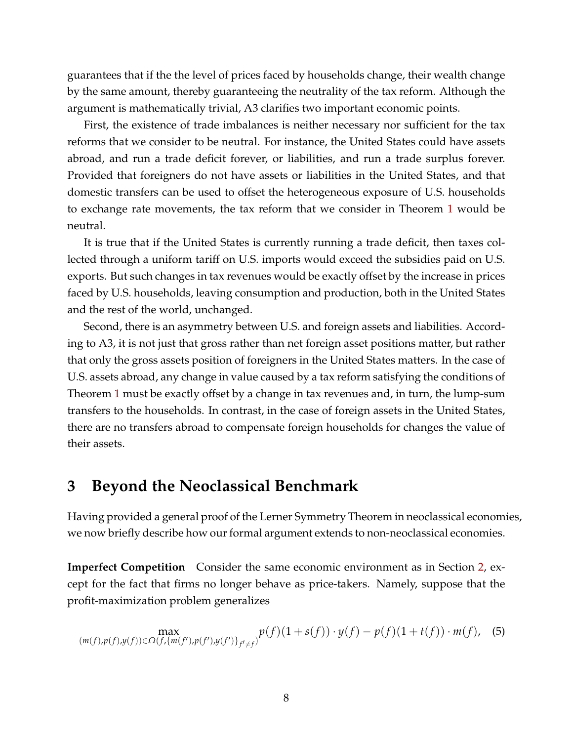guarantees that if the the level of prices faced by households change, their wealth change by the same amount, thereby guaranteeing the neutrality of the tax reform. Although the argument is mathematically trivial, A3 clarifies two important economic points.

First, the existence of trade imbalances is neither necessary nor sufficient for the tax reforms that we consider to be neutral. For instance, the United States could have assets abroad, and run a trade deficit forever, or liabilities, and run a trade surplus forever. Provided that foreigners do not have assets or liabilities in the United States, and that domestic transfers can be used to offset the heterogeneous exposure of U.S. households to exchange rate movements, the tax reform that we consider in Theorem [1](#page-6-0) would be neutral.

It is true that if the United States is currently running a trade deficit, then taxes collected through a uniform tariff on U.S. imports would exceed the subsidies paid on U.S. exports. But such changes in tax revenues would be exactly offset by the increase in prices faced by U.S. households, leaving consumption and production, both in the United States and the rest of the world, unchanged.

Second, there is an asymmetry between U.S. and foreign assets and liabilities. According to A3, it is not just that gross rather than net foreign asset positions matter, but rather that only the gross assets position of foreigners in the United States matters. In the case of U.S. assets abroad, any change in value caused by a tax reform satisfying the conditions of Theorem [1](#page-6-0) must be exactly offset by a change in tax revenues and, in turn, the lump-sum transfers to the households. In contrast, in the case of foreign assets in the United States, there are no transfers abroad to compensate foreign households for changes the value of their assets.

## <span id="page-9-0"></span>**3 Beyond the Neoclassical Benchmark**

Having provided a general proof of the Lerner Symmetry Theorem in neoclassical economies, we now briefly describe how our formal argument extends to non-neoclassical economies.

**Imperfect Competition** Consider the same economic environment as in Section [2,](#page-3-0) except for the fact that firms no longer behave as price-takers. Namely, suppose that the profit-maximization problem generalizes

<span id="page-9-1"></span>
$$
\max_{(m(f),p(f),y(f))\in\Omega(f,\{m(f'),p(f'),y(f')\}_{f'\neq f})}p(f)(1+s(f))\cdot y(f)-p(f)(1+t(f))\cdot m(f),
$$
 (5)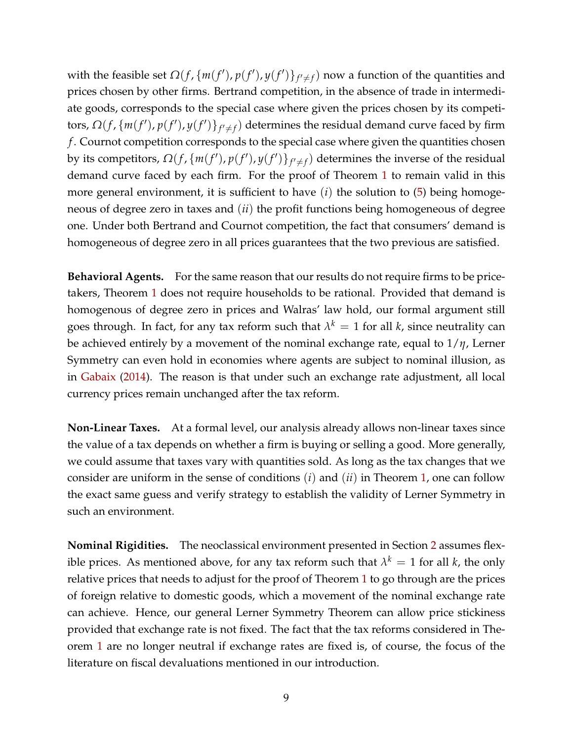with the feasible set  $\Omega(f, \{m(f'), p(f'), y(f')\}_{f' \neq f})$  now a function of the quantities and prices chosen by other firms. Bertrand competition, in the absence of trade in intermediate goods, corresponds to the special case where given the prices chosen by its competi*tors, Ω*(*f*, {*m*(*f'*), *p*(*f'*), *y*(*f'*)}<sub>*f'*≠*f*</sub>) determines the residual demand curve faced by firm *f* . Cournot competition corresponds to the special case where given the quantities chosen by its competitors,  $\Omega(f, \{m(f'), p(f'), y(f')\}_{f' \neq f})$  determines the inverse of the residual demand curve faced by each firm. For the proof of Theorem [1](#page-6-0) to remain valid in this more general environment, it is sufficient to have (*i*) the solution to [\(5\)](#page-9-1) being homogeneous of degree zero in taxes and (*ii*) the profit functions being homogeneous of degree one. Under both Bertrand and Cournot competition, the fact that consumers' demand is homogeneous of degree zero in all prices guarantees that the two previous are satisfied.

**Behavioral Agents.** For the same reason that our results do not require firms to be pricetakers, Theorem [1](#page-6-0) does not require households to be rational. Provided that demand is homogenous of degree zero in prices and Walras' law hold, our formal argument still goes through. In fact, for any tax reform such that  $\lambda^k = 1$  for all  $k$ , since neutrality can be achieved entirely by a movement of the nominal exchange rate, equal to 1/*η*, Lerner Symmetry can even hold in economies where agents are subject to nominal illusion, as in [Gabaix](#page-13-12) [\(2014\)](#page-13-12). The reason is that under such an exchange rate adjustment, all local currency prices remain unchanged after the tax reform.

**Non-Linear Taxes.** At a formal level, our analysis already allows non-linear taxes since the value of a tax depends on whether a firm is buying or selling a good. More generally, we could assume that taxes vary with quantities sold. As long as the tax changes that we consider are uniform in the sense of conditions (*i*) and (*ii*) in Theorem [1,](#page-6-0) one can follow the exact same guess and verify strategy to establish the validity of Lerner Symmetry in such an environment.

**Nominal Rigidities.** The neoclassical environment presented in Section [2](#page-3-0) assumes flexible prices. As mentioned above, for any tax reform such that  $\lambda^k = 1$  for all  $k$ , the only relative prices that needs to adjust for the proof of Theorem [1](#page-6-0) to go through are the prices of foreign relative to domestic goods, which a movement of the nominal exchange rate can achieve. Hence, our general Lerner Symmetry Theorem can allow price stickiness provided that exchange rate is not fixed. The fact that the tax reforms considered in Theorem [1](#page-6-0) are no longer neutral if exchange rates are fixed is, of course, the focus of the literature on fiscal devaluations mentioned in our introduction.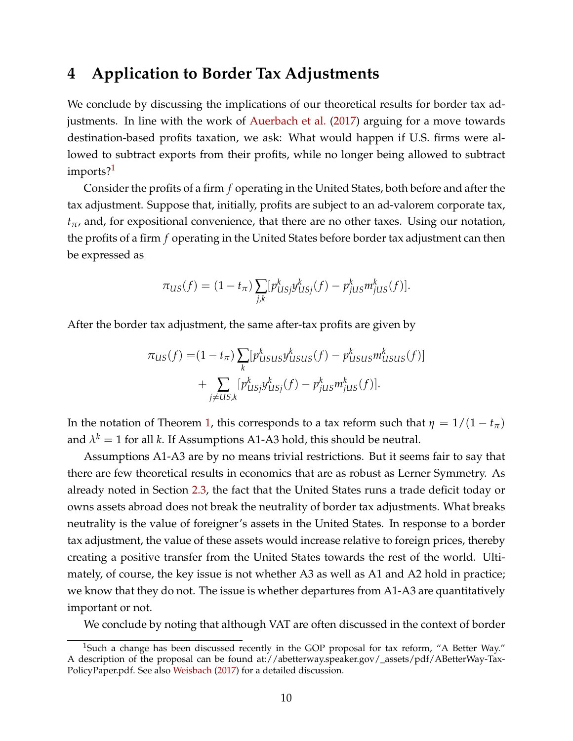## <span id="page-11-0"></span>**4 Application to Border Tax Adjustments**

We conclude by discussing the implications of our theoretical results for border tax adjustments. In line with the work of [Auerbach et al.](#page-13-1) [\(2017\)](#page-13-1) arguing for a move towards destination-based profits taxation, we ask: What would happen if U.S. firms were allowed to subtract exports from their profits, while no longer being allowed to subtract imports?<sup>[1](#page-11-1)</sup>

Consider the profits of a firm *f* operating in the United States, both before and after the tax adjustment. Suppose that, initially, profits are subject to an ad-valorem corporate tax,  $t_{\pi}$ , and, for expositional convenience, that there are no other taxes. Using our notation, the profits of a firm *f* operating in the United States before border tax adjustment can then be expressed as

$$
\pi_{US}(f) = (1 - t_{\pi}) \sum_{j,k} [p_{USj}^k y_{USj}^k(f) - p_{jUS}^k m_{jUS}^k(f)].
$$

After the border tax adjustment, the same after-tax profits are given by

$$
\pi_{US}(f) = (1 - t_{\pi}) \sum_{k} [p_{USUS}^k y_{USUS}^k(f) - p_{USUS}^k m_{USUS}^k(f)]
$$

$$
+ \sum_{j \neq US,k} [p_{USj}^k y_{USj}^k(f) - p_{jUS}^k m_{jUS}^k(f)].
$$

In the notation of Theorem [1,](#page-6-0) this corresponds to a tax reform such that  $\eta = 1/(1 - t_{\pi})$ and  $\lambda^k = 1$  for all *k*. If Assumptions A1-A3 hold, this should be neutral.

Assumptions A1-A3 are by no means trivial restrictions. But it seems fair to say that there are few theoretical results in economics that are as robust as Lerner Symmetry. As already noted in Section [2.3,](#page-7-0) the fact that the United States runs a trade deficit today or owns assets abroad does not break the neutrality of border tax adjustments. What breaks neutrality is the value of foreigner's assets in the United States. In response to a border tax adjustment, the value of these assets would increase relative to foreign prices, thereby creating a positive transfer from the United States towards the rest of the world. Ultimately, of course, the key issue is not whether A3 as well as A1 and A2 hold in practice; we know that they do not. The issue is whether departures from A1-A3 are quantitatively important or not.

<span id="page-11-1"></span>We conclude by noting that although VAT are often discussed in the context of border

<sup>&</sup>lt;sup>1</sup>Such a change has been discussed recently in the GOP proposal for tax reform, "A Better Way." A description of the proposal can be found at://abetterway.speaker.gov/\_assets/pdf/ABetterWay-Tax-PolicyPaper.pdf. See also [Weisbach](#page-14-1) [\(2017\)](#page-14-1) for a detailed discussion.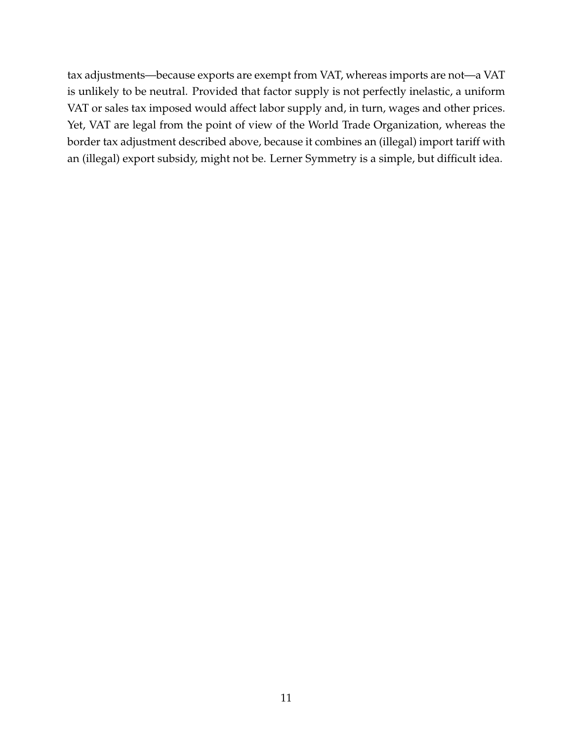tax adjustments—because exports are exempt from VAT, whereas imports are not—a VAT is unlikely to be neutral. Provided that factor supply is not perfectly inelastic, a uniform VAT or sales tax imposed would affect labor supply and, in turn, wages and other prices. Yet, VAT are legal from the point of view of the World Trade Organization, whereas the border tax adjustment described above, because it combines an (illegal) import tariff with an (illegal) export subsidy, might not be. Lerner Symmetry is a simple, but difficult idea.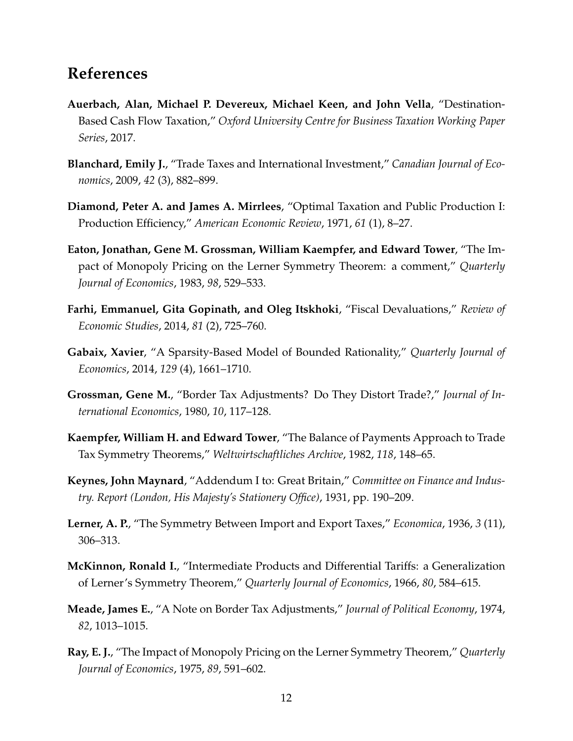# **References**

- <span id="page-13-1"></span>**Auerbach, Alan, Michael P. Devereux, Michael Keen, and John Vella**, "Destination-Based Cash Flow Taxation," *Oxford University Centre for Business Taxation Working Paper Series*, 2017.
- <span id="page-13-6"></span>**Blanchard, Emily J.**, "Trade Taxes and International Investment," *Canadian Journal of Economics*, 2009, *42* (3), 882–899.
- <span id="page-13-11"></span>**Diamond, Peter A. and James A. Mirrlees**, "Optimal Taxation and Public Production I: Production Efficiency," *American Economic Review*, 1971, *61* (1), 8–27.
- <span id="page-13-4"></span>**Eaton, Jonathan, Gene M. Grossman, William Kaempfer, and Edward Tower**, "The Impact of Monopoly Pricing on the Lerner Symmetry Theorem: a comment," *Quarterly Journal of Economics*, 1983, *98*, 529–533.
- <span id="page-13-8"></span>**Farhi, Emmanuel, Gita Gopinath, and Oleg Itskhoki**, "Fiscal Devaluations," *Review of Economic Studies*, 2014, *81* (2), 725–760.
- <span id="page-13-12"></span>**Gabaix, Xavier**, "A Sparsity-Based Model of Bounded Rationality," *Quarterly Journal of Economics*, 2014, *129* (4), 1661–1710.
- <span id="page-13-10"></span>**Grossman, Gene M.**, "Border Tax Adjustments? Do They Distort Trade?," *Journal of International Economics*, 1980, *10*, 117–128.
- <span id="page-13-5"></span>**Kaempfer, William H. and Edward Tower**, "The Balance of Payments Approach to Trade Tax Symmetry Theorems," *Weltwirtschaftliches Archive*, 1982, *118*, 148–65.
- <span id="page-13-7"></span>**Keynes, John Maynard**, "Addendum I to: Great Britain," *Committee on Finance and Industry. Report (London, His Majesty's Stationery Office)*, 1931, pp. 190–209.
- <span id="page-13-0"></span>**Lerner, A. P.**, "The Symmetry Between Import and Export Taxes," *Economica*, 1936, *3* (11), 306–313.
- <span id="page-13-2"></span>**McKinnon, Ronald I.**, "Intermediate Products and Differential Tariffs: a Generalization of Lerner's Symmetry Theorem," *Quarterly Journal of Economics*, 1966, *80*, 584–615.
- <span id="page-13-9"></span>**Meade, James E.**, "A Note on Border Tax Adjustments," *Journal of Political Economy*, 1974, *82*, 1013–1015.
- <span id="page-13-3"></span>**Ray, E. J.**, "The Impact of Monopoly Pricing on the Lerner Symmetry Theorem," *Quarterly Journal of Economics*, 1975, *89*, 591–602.